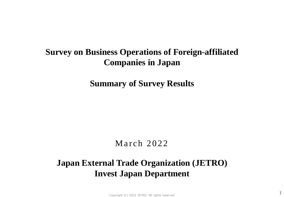# **Survey on Business Operations of Foreign-affiliated Companies in Japan**

**Summary of Survey Results**

## March 2022

# **Japan External Trade Organization (JETRO) Invest Japan Department**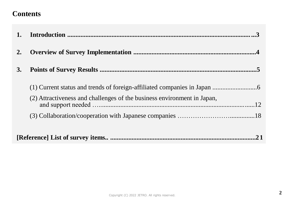## **Contents**

| 2. |                                                                         |
|----|-------------------------------------------------------------------------|
| 3. |                                                                         |
|    |                                                                         |
|    | (2) Attractiveness and challenges of the business environment in Japan, |
|    |                                                                         |
|    | .21                                                                     |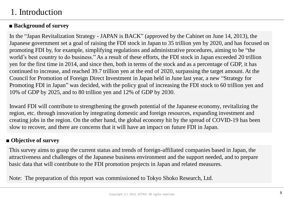# 1. Introduction

### **■ Background of survey**

In the "Japan Revitalization Strategy - JAPAN is BACK" (approved by the Cabinet on June 14, 2013), the Japanese government set a goal of raising the FDI stock in Japan to 35 trillion yen by 2020, and has focused on promoting FDI by, for example, simplifying regulations and administrative procedures, aiming to be "the world's best country to do business." As a result of these efforts, the FDI stock in Japan exceeded 20 trillion yen for the first time in 2014, and since then, both in terms of the stock and as a percentage of GDP, it has continued to increase, and reached 39.7 trillion yen at the end of 2020, surpassing the target amount. At the Council for Promotion of Foreign Direct Investment in Japan held in June last year, a new "Strategy for Promoting FDI in Japan" was decided, with the policy goal of increasing the FDI stock to 60 trillion yen and 10% of GDP by 2025, and to 80 trillion yen and 12% of GDP by 2030.

Inward FDI will contribute to strengthening the growth potential of the Japanese economy, revitalizing the region, etc. through innovation by integrating domestic and foreign resources, expanding investment and creating jobs in the region. On the other hand, the global economy hit by the spread of COVID-19 has been slow to recover, and there are concerns that it will have an impact on future FDI in Japan.

### **■ Objective of survey**

This survey aims to grasp the current status and trends of foreign-affiliated companies based in Japan, the attractiveness and challenges of the Japanese business environment and the support needed, and to prepare basic data that will contribute to the FDI promotion projects in Japan and related measures.

Note: The preparation of this report was commissioned to Tokyo Shoko Research, Ltd.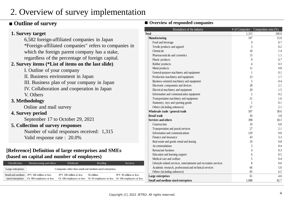# 2. Overview of survey implementation

### **■ Outline of survey ■ Overview of responded companies**

V. Others

**3. Methodology**

**4. Survey period**

Small and medium-JPY 300 million or less sized enterprises Or 300 employees or less

**1. Survey target**

#### 6,582 foreign-affiliated companies in Japan \*Foreign-affiliated companies" refers to companies in which the foreign parent company has a stake, regardless of the percentage of foreign capital. **2. Survey items (\*List of items on the last slide)** I. Outline of your company II. Business environment in Japan III. Business plan of your company in Japan IV. Collaboration and cooperation in Japan Online and mail survey September 17 to October 29, 2021 **5. Collection of survey responses** Number of valid responses received: 1,315 Valid response rate : 20.0% **[Reference] Definition of large enterprises and SMEs (based on capital and number of employees)** Classification Manufacturing and others Wholesale Retailing Retailing Services Large enterprises Companies other than small and medium-sized enterprises JPY 100 million or less 50 million. JPY 50 million or less Breakdown of the industry  $\#$  of Companies Composition ratio  $(\%)$ **Total** 1,315 100.0 **Manufacturing 197** 15.0 Food and beverage 6.1 and  $\frac{9}{2}$  0.7 Textile products and apparel 3 0.2 Chemicals 18 1.4 Pharmaceuticals and cosmetics 11 and 200 method is a set of the set of the set of the set of the set of the set of the set of the set of the set of the set of the set of the set of the set of the set of the set of the set Plastic products and the product of the product of the product of the product of the product of the product of the product of the product of the product of the product of the product of the product of the product of the pr Rubber products and the contract of the contract of the contract of the contract of the contract of the contract of the contract of the contract of the contract of the contract of the contract of the contract of the contra Metal products and the contract of the contract of the contract of the contract of the contract of the contract of the contract of the contract of the contract of the contract of the contract of the contract of the contrac General-purpose machinery and equipment 1 0.1 Production machinery and equipment 23 1.7 Business-oriented machinery and equipment 5 0.4 Electronic components and devices 28 2.1 Electrical machinery and equipment 20 1.5 Information and communication equipment 2 0.2 Transportation machinery and equipment 21 21 1.6 Stationery, toys and sporting goods 1 0.1 Others (including unknown) 27 2.1 **Wholesale trade / general trade** 507 38.6 **Retail trade** 3.8 **Services and others** 30.3  $\frac{10}{10}$  0.8 Transportation and postal services 2.1 2.1 Information and communications 129 9.8 Finance and insurance 43 3.3 Real estate and goods rental and leasing 10 0.8 Accommodations 0.4 Restaurant business 0.3 Education and learning support 6 0.5 Medical care and welfare 6 0.4 Lifestyle-related services, entertainment and recreation services 8 0.6 Academic research, professional and technical services 66 6 6 5.0 Others (including unknown) 85 6.5

Or 100 employees or less Or 50 employees or less Or 100 employees or less

**Large enterprises** 61 4.6 **Small and medium-sized enterprises** 1,088 82.7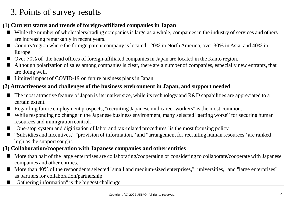# 3. Points of survey results

### **(1) Current status and trends of foreign-affiliated companies in Japan**

- While the number of wholesalers/trading companies is large as a whole, companies in the industry of services and others are increasing remarkably in recent years.
- Country/region where the foreign parent company is located: 20% in North America, over 30% in Asia, and 40% in Europe
- Over 70% of the head offices of foreign-affiliated companies in Japan are located in the Kanto region.
- Although polarization of sales among companies is clear, there are a number of companies, especially new entrants, that are doing well.
- Limited impact of COVID-19 on future business plans in Japan.

### **(2) Attractiveness and challenges of the business environment in Japan, and support needed**

- The most attractive feature of Japan is its market size, while its technology and R&D capabilities are appreciated to a certain extent.
- Regarding future employment prospects, "recruiting Japanese mid-career workers" is the most common.
- While responding no change in the Japanese business environment, many selected "getting worse" for securing human resources and immigration control.
- "One-stop system and digitization of labor and tax-related procedures" is the most focusing policy.
- "Subsidies and incentives," "provision of information," and "arrangement for recruiting human resources" are ranked high as the support sought.
- **(3) Collaboration/cooperation with Japanese companies and other entities**
	- More than half of the large enterprises are collaborating/cooperating or considering to collaborate/cooperate with Japanese companies and other entities.
	- More than 40% of the respondents selected "small and medium-sized enterprises," "universities," and "large enterprises" as partners for collaboration/partnership.
	- "Gathering information" is the biggest challenge.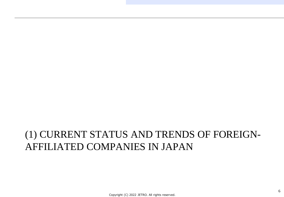# (1) CURRENT STATUS AND TRENDS OF FOREIGN-AFFILIATED COMPANIES IN JAPAN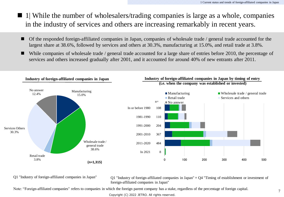- 1| While the number of wholesalers/trading companies is large as a whole, companies in the industry of services and others are increasing remarkably in recent years.
	- Of the responded foreign-affiliated companies in Japan, companies of wholesale trade / general trade accounted for the largest share at 38.6%, followed by services and others at 30.3%, manufacturing at 15.0%, and retail trade at 3.8%.
	- While companies of wholesale trade / general trade accounted for a large share of entries before 2010, the percentage of services and others increased gradually after 2001, and it accounted for around 40% of new entrants after 2011.



Q1 "Industry of foreign-affiliated companies in Japan"  $Q1$  "Industry of foreign-affiliated companies in Japan"  $\times$  Q4 "Timing of establishment or investment of foreign-affiliated companies in Japan"

Note: "Foreign-affiliated companies" refers to companies in which the foreign parent company has a stake, regardless of the percentage of foreign capital.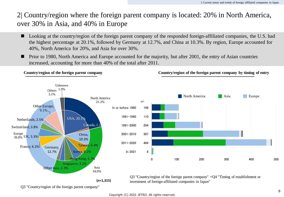2| Country/region where the foreign parent company is located: 20% in North America, over 30% in Asia, and 40% in Europe

- Looking at the country/region of the foreign parent company of the responded foreign-affiliated companies, the U.S. had the highest percentage at 20.1%, followed by Germany at 12.7%, and China at 10.3%. By region, Europe accounted for 40%, North America for 20%, and Asia for over 30%.
- **Prior to 1980, North America and Europe accounted for the majority, but after 2001, the entry of Asian countries** increased, accounting for more than 40% of the total after 2011.



**(n=1,315)**

investment of foreign-affiliated companies in Japan"

Q3 "Country/region of the foreign parent company"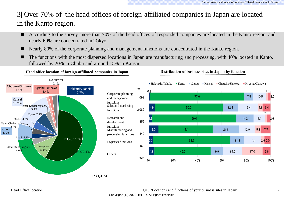### 3| Over 70% of the head offices of foreign-affiliated companies in Japan are located in the Kanto region.

- According to the survey, more than 70% of the head offices of responded companies are located in the Kanto region, and nearly 60% are concentrated in Tokyo.
- Nearly 80% of the corporate planning and management functions are concentrated in the Kanto region.
- The functions with the most dispersed locations in Japan are manufacturing and processing, with 40% located in Kanto, followed by 20% in Chubu and around 15% in Kansai.



**Head office location of foreign-affiliated companies in Japan Distribution of business sites in Japan by function**

**(n=1,315)**

Head Office location Q10 "Locations and functions of your business sites in Japan" Copyright (C) 2022 JETRO. All rights reserved.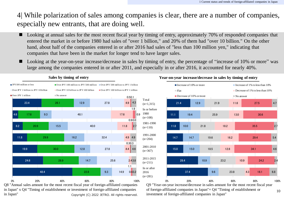4| While polarization of sales among companies is clear, there are a number of companies, especially new entrants, that are doing well.

- Looking at annual sales for the most recent fiscal year by timing of entry, approximately 70% of responded companies that entered the market in or before 1980 had sales of "over 1 billion," and 20% of them had "over 10 billion." On the other hand, about half of the companies entered in or after 2016 had sales of "less than 100 million yen," indicating that companies that have been in the market for longer tend to have larger sales.
- Looking at the year-on-year increase/decrease in sales by timing of entry, the percentage of "increase of 10% or more" was large among the companies entered in or after 2011, and especially in or after 2016, it accounted for nearly 40%.

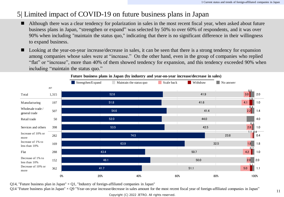### 5| Limited impact of COVID-19 on future business plans in Japan

- Although there was a clear tendency for polarization in sales in the most recent fiscal year, when asked about future business plans in Japan, "strengthen or expand" was selected by 50% to over 60% of respondents, and it was over 90% when including "maintain the status quo," indicating that there is no significant difference in their willingness to expand business.
- Looking at the year-on-year increase/decrease in sales, it can be seen that there is a strong tendency for expansion among companies whose sales were at "increase." On the other hand, even in the group of companies who replied "flat" or "increase", more than 40% of them showed tendency for expansion, and this tendency exceeded 90% when including "maintain the status quo."



**Future business plans in Japan (by industry and year-on-year increase/decrease in sales)**

Q14, "Future business plan in Japan"  $\times$  Q1, "Industry of foreign-affiliated companies in Japan"

 $Q14$  "Future business plan in Japan"  $\times Q9$  "Year-on-year increase/decrease in sales amount for the most recent fiscal year of foreign-affiliated companies in Japan"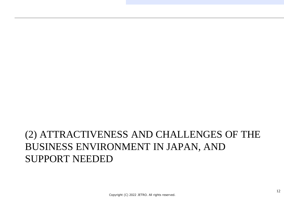# (2) ATTRACTIVENESS AND CHALLENGES OF THE BUSINESS ENVIRONMENT IN JAPAN, AND SUPPORT NEEDED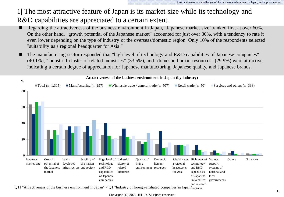## 1| The most attractive feature of Japan is its market size while its technology and R&D capabilities are appreciated to a certain extent.

- Regarding the attractiveness of the business environment in Japan, "Japanese market size" ranked first at over 60%. On the other hand, "growth potential of the Japanese market" accounted for just over 30%, with a tendency to rate it even lower depending on the type of industry or the overseas/domestic region. Only 10% of the respondents selected "suitability as a regional headquarter for Asia."
- The manufacturing sector responded that "high level of technology and R&D capabilities of Japanese companies" (40.1%), "industrial cluster of related industries" (33.5%), and "domestic human resources" (29.9%) were attractive, indicating a certain degree of appreciation for Japanese manufacturing, Japanese quality, and Japanese brands.



Q11 "Attractiveness of the business environment in Japan"  $\times$  Q1 "Industry of foreign-affiliated companies in Japan $"_{\rm institutes}$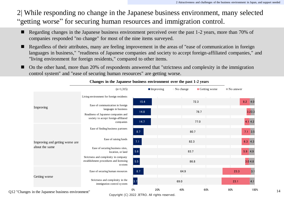2| While responding no change in the Japanese business environment, many selected "getting worse" for securing human resources and immigration control.

- Regarding changes in the Japanese business environment perceived over the past 1-2 years, more than 70% of companies responded "no change" for most of the nine items surveyed.
- Regardless of their attributes, many are feeling improvement in the areas of "ease of communication in foreign languages in business," "readiness of Japanese companies and society to accept foreign-affiliated companies," and "living environment for foreign residents," compared to other items.
- On the other hand, more than 20% of respondents answered that "strictness and complexity in the immigration control system" and "ease of securing human resources" are getting worse.

|                                                                  | $(n=1,315)$                                                                              |              | $\blacksquare$ Improving | $\blacksquare$ No change | Getting worse | $\blacksquare$ No answer |                      |
|------------------------------------------------------------------|------------------------------------------------------------------------------------------|--------------|--------------------------|--------------------------|---------------|--------------------------|----------------------|
|                                                                  | Living environment for foreign residents                                                 |              |                          |                          |               |                          |                      |
| Improving                                                        | Ease of communication in foreign<br>languages in business                                | 15.4<br>14.8 |                          |                          | 72.3<br>78.7  |                          | 8.2<br>4.0<br>3.23.3 |
|                                                                  | Readiness of Japanese companies and<br>society to accept foreign-affiliated<br>companies | 14.7         |                          |                          | 77.0          |                          | 4.14.2               |
|                                                                  | Ease of finding business partners                                                        | 8.7          |                          | 80.7                     |               |                          | $7.1 \quad 3.5$      |
| Improving and getting worse are                                  | Ease of raising funds                                                                    | 7.1          |                          | 82.3                     |               |                          | $6.3$ 4.3            |
| about the same                                                   | Ease of securing business sites,<br>location, or land                                    | 5.6          |                          | 83.7                     |               |                          | $5.9 \quad 4.9$      |
|                                                                  | Strictness and complexity in company<br>establishment procedures and licensing<br>system | 5.5          |                          | 86.8                     |               |                          | 3.04.8               |
|                                                                  | Ease of securing human resources                                                         | 8.7          |                          | 64.9                     |               | 23.3                     | 3.1                  |
| Getting worse                                                    | Strictness and complexity in the<br>immigration control system                           | 3.7          |                          | 69.0                     |               | 23.1                     | 4.1                  |
| $\mathbf{1}$ $\mathbf{1}$ $\mathbf{1}$ $\mathbf{1}$ $\mathbf{1}$ | 0%                                                                                       | 20%          | 40%                      | 60%                      | 80%           | 100%                     |                      |

#### **Changes in the Japanese business environment over the past 1-2 years**

Q12 "Changes in the Japanese business environment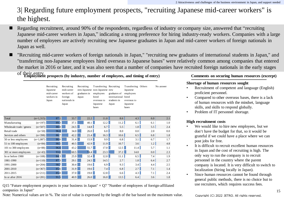## 3| Regarding future employment prospects, "recruiting Japanese mid-career workers" is the highest.

- Regarding recruitment, around 90% of the respondents, regardless of industry or company size, answered that "recruiting" Japanese mid-career workers in Japan," indicating a strong preference for hiring industry-ready workers. Companies with a large number of employees are actively recruiting new Japanese graduates in Japan and mid-career workers of foreign nationals in Japan as well.
- "Recruiting mid-career workers of foreign nationals in Japan," "recruiting new graduates of international students in Japan," and "transferring non-Japanese employees hired overseas to Japanese bases" were relatively common among companies that entered the market in 2016 or later, and it was also seen that a number of companies have recruited foreign nationals in the early stages
	-

of their entry. **Employment prospects (by industry, number of employees, and timing of entry) Comments on securing human resources (excerpt)**

| Total                    | $(n=1,315)$ | 87.1 | 33.7 | 22.2 | 11.0 | 8.6  | 4.3        | 6.0     | 2.1 |
|--------------------------|-------------|------|------|------|------|------|------------|---------|-----|
| M anufacturing           | $(n=197)$   | 89.3 | 37.1 | 40.1 | 12.2 | 11.2 | 6.1        | 6.1     | 1.0 |
| Wholesale trade / genera | $(n=507)$   | 88.0 | 24.5 | 14.8 | 6.7  | 5.5  | 1.8        | 5.5     | 2.4 |
| Retail trade             | $(n=50)$    | 96.0 | 34.0 | 26.0 | 6.0  | 8.0  | $0.0\vert$ | 2.0     | 0.0 |
| Services and others      | $(n=398)$   | 86.7 | 42.2 | 21.4 | 16.3 | 10.6 | 6.5        | 6.8     | 1.8 |
| 50 or less employees     | $(n=1,087)$ | 86.0 | 31.4 | 15.9 | 9.9  | 6.8  | 3.1        | 6.7     | 1.7 |
| 51 to 100 employees      | $(n=84)$    | 90.5 | 40.5 | 42.9 | 11.9 | 10.7 | 3.6        | 1.2     | 4.8 |
| 101 to 300 employees     | $(n=88)$    | 96.6 | 43.2 | 55.7 | 17.0 | 12.5 | 11.4       | 5.7     | 1.1 |
| 301 or more employees    | $(n=43)$    | 93.0 | 60.5 | 74.4 | 23.3 | 37.2 | 14.0       | $0.0\,$ | 2.3 |
| In or before 1980        | $(n=108)$   | 84.3 | 25.9 | 32.4 | 12.0 | 11.1 | 6.5        | 7.4     | 1.9 |
| 1981-1990                | $(n=110)$   | 87.3 | 29.1 | 24.5 | 14.5 | 2.7  | 1.8        | 6.4     | 2.7 |
| 1991-2000                | $(n=204)$   | 90.7 | 30.4 | 19.6 | 6.9  | 9.3  | 3.4        | 4.4     | 2.5 |
| 2001-2010                | $(n=367)$   | 85.6 | 31.9 | 19.6 | 7.4  | 6.8  | 2.7        | 7.1     | 1.4 |
| 2011-2015                | $(n=211)$   | 85.8 | 37.0 | 19.0 | 12.8 | 6.6  | 4.3        | 7.1     | 2.4 |
| In or after $2016$       | $(n=281)$   | 91.5 | 40.9 | 26.0 | 16.0 | 13.5 | 6.4        | 3.6     | 1.8 |

Q15 "Future employment prospects in your business in Japan"  $\times$  O7 "Number of employees of foreign-affiliated companies in Japan"

Note: Numerical values are in %. The size of value is expressed by the length of the bar based on the maximum value.

### **Shortage of human resources sought**

- Recruitment of competent and language (English) proficient personnel.
- Compared to other overseas bases, there is a lack of human resources with the mindset, language skills, and skills to respond globally.
- Problem of IT personnel shortage.

### **High recruitment costs**

- We would like to hire new employees, but we don't have the budget for that, so it would be grateful if we could have a place where we can post jobs for free.
- It is difficult to recruit excellent human resources in Japan and the cost of recruiting is high. The only way to run the company is to recruit personnel in the country where the parent company is located. It is very difficult to switch to localization (hiring locally in Japan).
- Since human resources cannot be found through general public methods, there is no choice but to use recruiters, which requires success fees.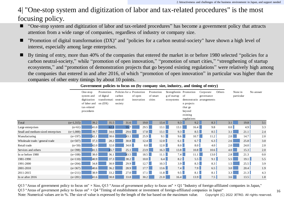### 4| "One-stop system and digitization of labor and tax-related procedures" is the most focusing policy.

- "One-stop system and digitization of labor and tax-related procedures" has become a government policy that attracts attention from a wide range of companies, regardless of industry or company size.
- "Promotion of digital transformation (DX)" and "policies for a carbon neutral-society" have shown a high level of interest, especially among large enterprises.
- By timing of entry, more than 40% of the companies that entered the market in or before 1980 selected "policies for a carbon neutral-society," while "promotion of open innovation," "promotion of smart cities," "strengthening of startup ecosystems," and "promotion of demonstration projects that go beyond existing regulations" were relatively high among the companies that entered in and after 2016, of which "promotion of open innovation" in particular was higher than the companies of other entry timings by about 10 points.

|                                    |             | One-stop<br>system and | Promotion<br>of digital | Policies for a<br>carbon | Promotion<br>of open | Promotion<br>of smart | Strengthenin Promotion<br>g of startup | of                      | Corporate<br>governance   | Others | None in<br>particular |      | No answer |
|------------------------------------|-------------|------------------------|-------------------------|--------------------------|----------------------|-----------------------|----------------------------------------|-------------------------|---------------------------|--------|-----------------------|------|-----------|
|                                    |             | digitization           | transformati            | neutral-                 | innovation           | cities                | ecosystems                             |                         | demonstratio arrangements |        |                       |      |           |
|                                    |             | of labor and           | on $(DX)$               | society                  |                      |                       |                                        | n projects              |                           |        |                       |      |           |
|                                    |             | tax-related            |                         |                          |                      |                       |                                        | that go                 |                           |        |                       |      |           |
|                                    |             | procedures             |                         |                          |                      |                       |                                        | beyond                  |                           |        |                       |      |           |
|                                    |             |                        |                         |                          |                      |                       |                                        | existing<br>regulations |                           |        |                       |      |           |
| Total                              | $(n=1,315)$ | 39.2                   | 35.5                    | 31.6                     | 19.0                 |                       | 13.4<br>9.3                            | 9.2                     | 8.3                       |        | 3.1                   | 19.8 | 3.1       |
| Large enterprises                  | $(n=61)$    | 41.0                   | 62.3                    | 55.7                     | 29.5                 |                       | 13.1<br>13.1                           | 16.4                    | 9.8                       |        | 0.0                   | 4.9  | 3.3       |
| Small and medium-sized enterprises | $(n=1,088)$ | 39.7                   | 34.6                    | 29.6                     | 17.8                 |                       | 13.1                                   | 8.5<br>9.3              | 8.5                       |        | 3.1                   | 21.1 | 2.4       |
| M anufacturing                     | $(n=197)$   | 42.1                   | 38.6                    | 43.1                     | 25.9                 |                       | 9.1<br>9.6                             | 10.7 <sub>1</sub>       | 11.2                      |        | 2.0                   | 14.7 | 2.0       |
| Wholesale trade / general trade    | $(n=507)$   | 37.3                   | 28.2                    | 30.8                     | 12.4                 | 12.0                  | 6.1                                    | 6.7                     | 6.3                       |        | 2.6                   | 25.8 | 3.0       |
| Retail trade                       | $(n=50)$    | 42.0                   | 32.0                    | 34.0                     | 8.0                  | 12.0                  | 8.0                                    | 8.0                     | 4.0                       |        | 2.0                   | 24.0 | 2.0       |
| Services and others                | $(n=398)$   | 41.5                   | 45.7                    | 25.1                     | 23.9                 |                       | 16.3<br>13.8                           | 10.8                    | 10.6                      |        | 4.0                   | 15.3 | 2.0       |
| In or before 1980                  | $(n=108)$   | 38.0                   | 36.1                    | 43.5                     | 18.5                 | 11.1                  | 7.4                                    | 11.1                    | 13.0                      |        | 2.8                   | 21.3 | 0.0       |
| 1981-1990                          | $(n=110)$   | 40.9                   | 37.3                    | 38.2                     | 10.0                 |                       | 8.2<br>6.4                             |                         | 5.5<br>$9.1$              |        | 5.5                   | 19.1 | 5.5       |
| 1991-2000                          | $(n=204)$   | 34.8                   | 30.9                    | 29.9                     | 12.7                 | 10.3                  |                                        | 3.9                     | 8.3<br>8.3                |        | 1.5                   | 25.5 | 3.9       |
| 2001-2010                          | $(n=367)$   | 40.6                   | 36.2                    | 28.9                     | 17.7                 | 13.6                  | 7.4                                    | 7.9                     | 6.5                       |        | 3.0                   | 20.4 | 1.9       |
| 2011-2015                          | $(n=211)$   | 38.9                   | 33.2                    | 27.0                     | 17.1                 |                       | 9.5<br>11.8                            | 8.1                     | 8.1                       |        | 3.3                   | 21.3 | 4.3       |
| In or after 2016                   | $(n=281)$   | 41.6                   | 38.8                    | 33.8                     | 30.2                 | 21.0                  | 16.4                                   | 13.9                    | 7.5                       |        | 3.6                   | 13.5 | 1.8       |

**Government policies to focus on (by company size, industry, and timing of entry)**

Q13 "Areas of government policy to focus on"  $\times$  Size, Q13 "Areas of government policy to focus on"  $\times$  Q1 "Industry of foreign-affiliated companies in Japan,"

Q13 "Areas of government policy to focus on"  $\times$  Q4 "Timing of establishment or investment of foreign-affiliated companies in Japan"

Note: Numerical values are in %. The size of value is expressed by the length of the bar based on the maximum value.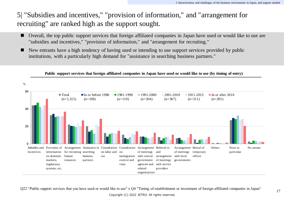### 5| "Subsidies and incentives," "provision of information," and "arrangement for recruiting" are ranked high as the support sought.

- Overall, the top public support services that foreign affiliated companies in Japan have used or would like to use are "subsidies and incentives," "provision of information," and "arrangement for recruiting."
- New entrants have a high tendency of having used or intending to use support services provided by public institutions, with a particularly high demand for "assistance in searching business partners."



Q22 "Public support services that you have used or would like to use" x Q4 "Timing of establishment or investment of foreign-affiliated companies in Japan" Copyright (C) 2022 JETRO. All rights reserved.

### **Public support services that foreign affiliated companies in Japan have used or would like to use (by timing of entry)**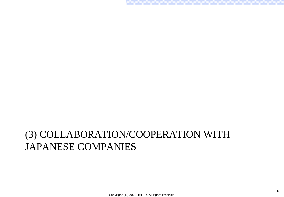# (3) COLLABORATION/COOPERATION WITH JAPANESE COMPANIES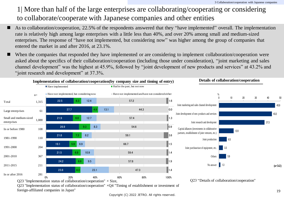## 1| More than half of the large enterprises are collaborating/cooperating or considering to collaborate/cooperate with Japanese companies and other entities

- As to collaboration/cooperation, 22.5% of the respondents answered that they "have implemented" overall. The implementation rate is relatively high among large enterprises with a little less than 40%, and over 20% among small and medium-sized enterprises. The response of "have not implemented, but considering now" was higher among the group of companies that entered the market in and after 2016, at 23.1%.
	- When the companies that responded they have implemented or are considering to implement collaboration/cooperation were asked about the specifics of their collaboration/cooperation (including those under consideration), "joint marketing and sales channel development" was the highest at 45.9%, followed by "joint development of new products and services" at 43.2% and "joint research and development" at 37.3%.



Q23 "Implementation status of collaboration/cooperation"  $\times$ Q4 "Timing of establishment or investment of foreign-affiliated companies in Japan"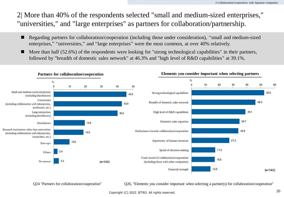2| More than 40% of the respondents selected "small and medium-sized enterprises," "universities," and "large enterprises" as partners for collaboration/partnership.

- Regarding partners for collaboration/cooperation (including those under consideration), "small and medium-sized enterprises," "universities," and "large enterprises" were the most common, at over 40% relatively.
- More than half  $(52.6\%)$  of the respondents were looking for "strong technological capabilities" in their partners, followed by "breadth of domestic sales network" at 46.3% and "high level of R&D capabilities" at 39.1%.



Q24 "Partners for collaboration/cooperation"

 $Q26$ , "Elements you consider important when selecting a partner(s) for collaboration/cooperation"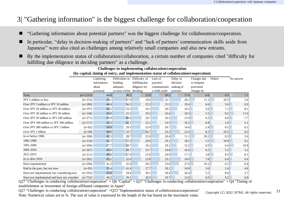### 3| "Gathering information" is the biggest challenge for collaboration/cooperation

- "Gathering information about potential partners" was the biggest challenge for collaboration/cooperation.
- In particular, "delay in decision-making of partners" and "lack of partners' communication skills aside from Japanese" were also cited as challenges among relatively small companies and also new entrants.
- By the implementation status of collaboration/collaboration, a certain number of companies cited "difficulty for fulfilling due diligence in deciding partners" as a challenge.

| (by capital, timing of entry, and implementation status of collaboration/cooperation) |             |             |                        |                |                |           |             |        |           |  |
|---------------------------------------------------------------------------------------|-------------|-------------|------------------------|----------------|----------------|-----------|-------------|--------|-----------|--|
|                                                                                       | Gathering   |             | Difficulties in        | Difficulty of  | Lack of        | Delay in  | Changes due | Others | No answer |  |
|                                                                                       |             | information | building               | fulfilling due | partners'      | decision- |             |        |           |  |
|                                                                                       | about       |             | adequate               | diligence for  | communicatio   | making of | personnel   |        |           |  |
|                                                                                       |             | potential   | system within deciding |                | n skills aside | partners  | changes by  |        |           |  |
| Tota;                                                                                 | $(n=1,315)$ | 44.0        | 36.5                   | 22.0           | 20.2           | 17.6      | 6.6         | 6.9    | 7.1       |  |
| JPY 5 million or less                                                                 | $(n=153)$   | 43.1        | 37.9                   | 19.6           | 32.7           | 26.1      | 11.1        | 10.5   | 2.6       |  |
| Over JPY 5 million to JPY 10 million                                                  | $(n=288)$   | 44.4        | 36.5                   | 23.3           | 21.5           | 19.4      | 6.6         | 5.6    | 6.9       |  |
| Over JPY 10 million to JPY 30 million                                                 | $(n=197)$   | 44.2        | 33.5                   | 16.2           | 20.3           | 16.2      | 5.6         | 7.1    | 8.1       |  |
| Over JPY 30 million to JPY 50 million                                                 | $(n=146)$   | 45.9        | 31.5                   | 19.2           | 16.4           | 10.3      | 5.5         | 8.2    | 11.0      |  |
| Over JPY 50 million to JPY 100 million                                                | $(n=271)$   | 39.9        | 40.6                   | 24.7           | 16.2           | 15.9      | 6.3         | 6.6    | 7.7       |  |
| Over JPY 100 million to JPY 300 million                                               | $(n=117)$   | 45.3        | 42.7                   | 23.1           | 14.5           | 16.2      | 6.8         | 2.6    | 5.1       |  |
| Over JPY 300 million to JPY 1 billion                                                 | $(n=82)$    | 50.0        | 29.3                   | 22.0           | 20.7           | 14.6      | 2.4         | 8.5    | 6.1       |  |
| Over JPY 1 billion                                                                    | $(n=49)$    | 46.9        | 32.7                   | 36.7           | 14.3           | 22.4      | 8.2         | 10.2   | 8.2       |  |
| In or before 1980                                                                     | $(n=108)$   | 43.5        | 28.7                   | 25.9           | 20.4           | 11.1      | 10.2        | 8.3    | 5.6       |  |
| 1981-1990                                                                             | $(n=110)$   | 42.7        | 37.3                   | 20.9           | 19.1           | 18.2      | 5.5         | 10.9   | 8.2       |  |
| 1991-2000                                                                             | $(n=204)$   | 37.7        | 38.7                   | 16.2           | 18.1           | 15.2      | 6.9         | 6.4    | 10.8      |  |
| 2001-2010                                                                             | $(n=367)$   | 45.0        | 38.7                   | 23.7           | 18.8           | 16.6      | 6.5         | 5.2    | 5.2       |  |
| 2011-2015                                                                             | $(n=211)$   | 46.4        | 37.9                   | 21.8           | 20.9           | 17.1      | 3.8         | 8.5    | 8.1       |  |
| In or after 2016                                                                      | $(n=281)$   | 45.2        | 32.0                   | 23.8           | 23.1           | 24.9      | 7.8         | 6.4    | 6.4       |  |
| Have implemented                                                                      | $(n=296)$   | 41.2        | 31.4                   | 20.3           | 23.6           | 27.0      | 10.1        | 6.1    | 6.4       |  |
| Had in the past, but not now                                                          | $(n=83)$    | 55.4        | 41.0                   | 27.7           | 18.1           | 10.8      | 3.6         | 2.4    | 4.8       |  |
| Have not implemented, but considering now                                             | $(n=163)$   | 65.0        | 34.4                   | 30.1           | 18.4           | 26.4      | 5.5         | 0.6    | 3.7       |  |
| Have not implemented and have not consider                                            | $(n=752)$   | 40.2        | 39.1                   | 20.5           | 19.7           | 13.0      | 6.0         | 9.2    | 6.8       |  |

**Challenges in implementing collaboration/cooperation (by capital, timing of entry, and implementation status of collaboration/cooperation)**

Q27 "Challenges in conducting collaboration/cooperation"  $\times$  Q6 "Capital"  $\times$  Q27 "Challenges in conducting collaboration/cooperation"  $\times$  Q4 "Timing of establishment or investment of foreign-affiliated companies in Japan"

 $Q27$  "Challenges in conducting collaboration/cooperation"  $\times$ Q23 "Implementation status of collaboration/cooperation" Note: Numerical values are in %. The size of value is expressed by the length of the bar based on the maximum value.